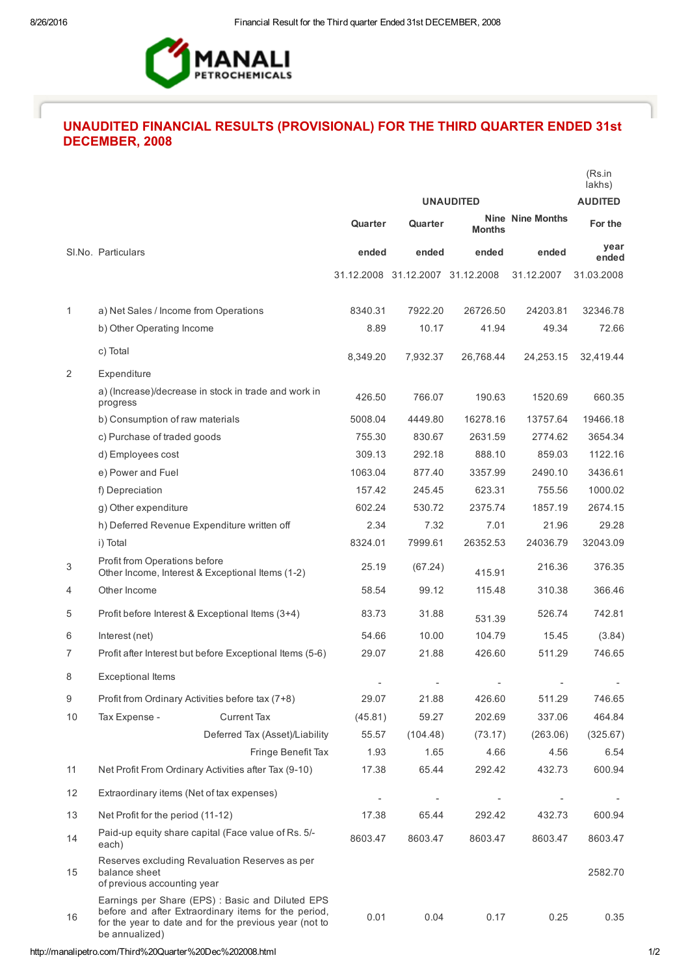

## UNAUDITED FINANCIAL RESULTS (PROVISIONAL) FOR THE THIRD QUARTER ENDED 31st DECEMBER, 2008

|    |                                                                                                                                                                                      |          |                                  |               |                         | (Rs.in<br>lakhs) |
|----|--------------------------------------------------------------------------------------------------------------------------------------------------------------------------------------|----------|----------------------------------|---------------|-------------------------|------------------|
|    |                                                                                                                                                                                      |          | <b>UNAUDITED</b>                 |               |                         | <b>AUDITED</b>   |
|    |                                                                                                                                                                                      | Quarter  | Quarter                          | <b>Months</b> | <b>Nine Nine Months</b> | For the          |
|    | SI.No. Particulars                                                                                                                                                                   | ended    | ended                            | ended         | ended                   | year<br>ended    |
|    |                                                                                                                                                                                      |          | 31.12.2008 31.12.2007 31.12.2008 |               | 31.12.2007              | 31.03.2008       |
| 1  | a) Net Sales / Income from Operations                                                                                                                                                | 8340.31  | 7922.20                          | 26726.50      | 24203.81                | 32346.78         |
|    | b) Other Operating Income                                                                                                                                                            | 8.89     | 10.17                            | 41.94         | 49.34                   | 72.66            |
|    | c) Total                                                                                                                                                                             | 8,349.20 | 7,932.37                         | 26,768.44     | 24,253.15               | 32,419.44        |
| 2  | Expenditure                                                                                                                                                                          |          |                                  |               |                         |                  |
|    | a) (Increase)/decrease in stock in trade and work in<br>progress                                                                                                                     | 426.50   | 766.07                           | 190.63        | 1520.69                 | 660.35           |
|    | b) Consumption of raw materials                                                                                                                                                      | 5008.04  | 4449.80                          | 16278.16      | 13757.64                | 19466.18         |
|    | c) Purchase of traded goods                                                                                                                                                          | 755.30   | 830.67                           | 2631.59       | 2774.62                 | 3654.34          |
|    | d) Employees cost                                                                                                                                                                    | 309.13   | 292.18                           | 888.10        | 859.03                  | 1122.16          |
|    | e) Power and Fuel                                                                                                                                                                    | 1063.04  | 877.40                           | 3357.99       | 2490.10                 | 3436.61          |
|    | f) Depreciation                                                                                                                                                                      | 157.42   | 245.45                           | 623.31        | 755.56                  | 1000.02          |
|    | g) Other expenditure                                                                                                                                                                 | 602.24   | 530.72                           | 2375.74       | 1857.19                 | 2674.15          |
|    | h) Deferred Revenue Expenditure written off                                                                                                                                          | 2.34     | 7.32                             | 7.01          | 21.96                   | 29.28            |
|    | i) Total                                                                                                                                                                             | 8324.01  | 7999.61                          | 26352.53      | 24036.79                | 32043.09         |
| 3  | Profit from Operations before<br>Other Income, Interest & Exceptional Items (1-2)                                                                                                    | 25.19    | (67.24)                          | 415.91        | 216.36                  | 376.35           |
| 4  | Other Income                                                                                                                                                                         | 58.54    | 99.12                            | 115.48        | 310.38                  | 366.46           |
| 5  | Profit before Interest & Exceptional Items (3+4)                                                                                                                                     | 83.73    | 31.88                            | 531.39        | 526.74                  | 742.81           |
| 6  | Interest (net)                                                                                                                                                                       | 54.66    | 10.00                            | 104.79        | 15.45                   | (3.84)           |
| 7  | Profit after Interest but before Exceptional Items (5-6)                                                                                                                             | 29.07    | 21.88                            | 426.60        | 511.29                  | 746.65           |
| 8  | <b>Exceptional Items</b>                                                                                                                                                             |          |                                  |               |                         |                  |
| 9  | Profit from Ordinary Activities before tax (7+8)                                                                                                                                     | 29.07    | 21.88                            | 426.60        | 511.29                  | 746.65           |
| 10 | Tax Expense -<br>Current Tax                                                                                                                                                         | (45.81)  | 59.27                            | 202.69        | 337.06                  | 464.84           |
|    | Deferred Tax (Asset)/Liability                                                                                                                                                       | 55.57    | (104.48)                         | (73.17)       | (263.06)                | (325.67)         |
|    | Fringe Benefit Tax                                                                                                                                                                   | 1.93     | 1.65                             | 4.66          | 4.56                    | 6.54             |
| 11 | Net Profit From Ordinary Activities after Tax (9-10)                                                                                                                                 | 17.38    | 65.44                            | 292.42        | 432.73                  | 600.94           |
| 12 | Extraordinary items (Net of tax expenses)                                                                                                                                            |          |                                  |               |                         |                  |
| 13 | Net Profit for the period (11-12)                                                                                                                                                    | 17.38    | 65.44                            | 292.42        | 432.73                  | 600.94           |
| 14 | Paid-up equity share capital (Face value of Rs. 5/-<br>each)                                                                                                                         | 8603.47  | 8603.47                          | 8603.47       | 8603.47                 | 8603.47          |
| 15 | Reserves excluding Revaluation Reserves as per<br>balance sheet<br>of previous accounting year                                                                                       |          |                                  |               |                         | 2582.70          |
| 16 | Earnings per Share (EPS) : Basic and Diluted EPS<br>before and after Extraordinary items for the period,<br>for the year to date and for the previous year (not to<br>be annualized) | 0.01     | 0.04                             | 0.17          | 0.25                    | 0.35             |